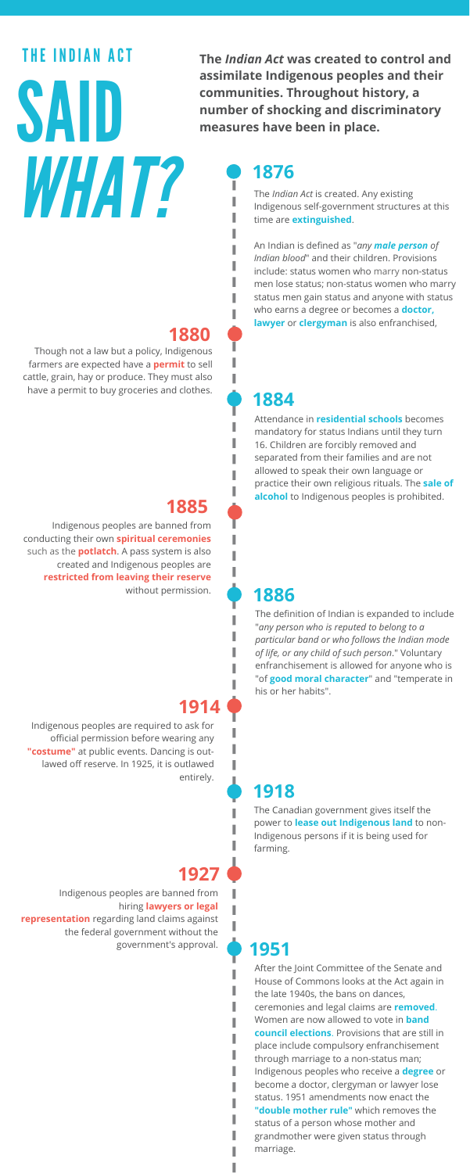#### **1876**

#### **1885**

# THE INDIAN ACT SAID *WHAT?*

### **1884**

The *Indian Act* is created. Any existing Indigenous [self-government](https://www.aadnc-aandc.gc.ca/DAM/DAM-INTER-HQ/STAGING/texte-text/1876c18_1100100010253_eng.pdf) structures at this time are **extinguished**.

An Indian is defined as "*any male person of Indian blood*" and their children. Provisions include: status women who marry non-status men lose status; non-status women who marry status men gain status and anyone with status who earns a degree or becomes a **doctor, lawyer** or **clergyman** is also enfranchised,

Indigenous peoples are banned from conducting their own **spiritual [ceremonies](http://www.cbc.ca/news/indigenous/historical-ban-spirituality-felt-indigenous-women-today-1.4036528)** such as the **potlatch**. A pass system is also created and Indigenous peoples are **restricted from leaving their reserve** without permission.

#### **1918**

The Canadian [government](http://kopiwadan.ca/wp-content/uploads/2017/01/4_1_01Q_1918-AN-ACT-TO-AMEND-THE-INDIAN-ACT-1918.pdf) gives itself the power to **lease out Indigenous land** to non-Indigenous persons if it is being used for farming.

I.

Attendance in **[residential](http://epe.lac-bac.gc.ca/100/205/301/ic/cdc/aboriginaldocs/stat/pdf/Ia1884.pdf) schools** becomes mandatory for status Indians until they turn 16. Children are forcibly removed and separated from their families and are not allowed to speak their own language or practice their own religious rituals. The **sale of alcohol** to Indigenous peoples is prohibited.

**The** *Indian Act* **was created to control and assimilate Indigenous peoples and their communities. Throughout history, a number of shocking and discriminatory measures have been in place.**

#### **1914** Indigenous peoples are required to ask for official permission before wearing any **["costume"](http://epe.lac-bac.gc.ca/100/205/301/ic/cdc/aboriginaldocs/stat/pdf/Ia1914.pdf)** at public events. Dancing is outlawed off reserve. In 1925, it is outlawed

entirely.

I.

#### **1927**

Indigenous peoples are banned from hiring **lawyers or legal [representation](http://kopiwadan.ca/wp-content/uploads/2016/06/4_1_01S_1927-Indian-Act-chap-132.pdf)** regarding land claims against the federal government without the government's approval. **1951**

> After the Joint Committee of the Senate and House of Commons looks at the Act again in the late 1940s, the bans on dances, ceremonies and legal claims are **removed**. Women are now allowed to vote in **band council elections**. Provisions that are still in place include compulsory [enfranchisement](http://epe.lac-bac.gc.ca/100/205/301/ic/cdc/aboriginaldocs/stat/pdf/1951.pdf) through marriage to a non-status man; Indigenous peoples who receive a **degree** or become a doctor, clergyman or lawyer lose status. 1951 amendments now enact the **"double mother rule"** which removes the status of a person whose mother and grandmother were given status through marriage.

Though not a law but a policy, [Indigenous](https://www.thestar.com/news/canada/2016/01/10/the-pass-system-explores-dark-chapter-in-canadian-history.html) farmers are expected have a **permit** to sell cattle, grain, hay or produce. They must also have a permit to buy groceries and clothes.



#### **1880**

I.

#### **1886**

I

The definition of Indian is expanded to include "*any person who is reputed to belong to a particular band or who follows the Indian mode of life, or any child of such person*." Voluntary [enfranchisement](http://epe.lac-bac.gc.ca/100/205/301/ic/cdc/aboriginaldocs/stat/pdf/Ia1886.pdf) is allowed for anyone who is "of **good moral character**" and "temperate in his or her habits".